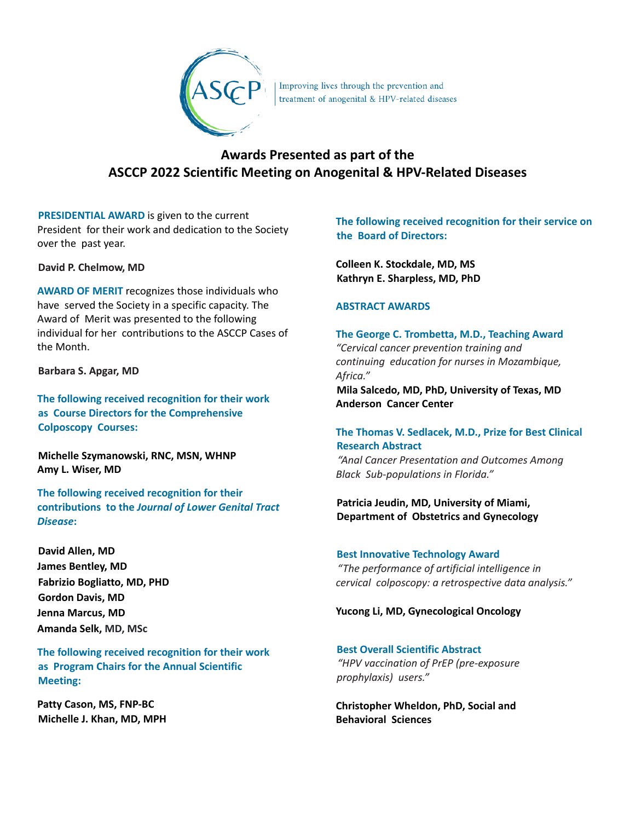

Improving lives through the prevention and **treatment** of anogenital & HPV-related diseases

# **Awards Presented as part of the ASCCP 2022 Scientific Meeting on Anogenital & HPV-Related Diseases**

**PRESIDENTIAL AWARD** is given to the current President for their work and dedication to the Society over the past year.

## **David P. Chelmow, MD**

**AWARD OF MERIT** recognizes those individuals who have served the Society in a specific capacity. The Award of Merit was presented to the following individual for her contributions to the ASCCP Cases of the Month.

**Barbara S. Apgar, MD**

**The following received recognition for their work as Course Directors for the Comprehensive Colposcopy Courses:**

**Michelle Szymanowski, RNC, MSN, WHNP Amy L. Wiser, MD**

**The following received recognition for their contributions to the** *Journal of Lower Genital Tract Disease***:**

**David Allen, MD James Bentley, MD Fabrizio Bogliatto, MD, PHD Gordon Davis, MD Jenna Marcus, MD Amanda Selk, MD, MSc**

**The following received recognition for their work as Program Chairs for the Annual Scientific Meeting:**

**Patty Cason, MS, FNP-BC Michelle J. Khan, MD, MPH** **The following received recognition for their service on the Board of Directors:**

**Colleen K. Stockdale, MD, MS Kathryn E. Sharpless, MD, PhD**

## **ABSTRACT AWARDS**

**The George C. Trombetta, M.D., Teaching Award** *"Cervical cancer prevention training and continuing education for nurses in Mozambique, Africa."*

**Mila Salcedo, MD, PhD, University of Texas, MD Anderson Cancer Center**

## **The Thomas V. Sedlacek, M.D., Prize for Best Clinical Research Abstract**

*"Anal Cancer Presentation and Outcomes Among Black Sub-populations in Florida."*

# **Patricia Jeudin, MD, University of Miami, Department of Obstetrics and Gynecology**

**Best Innovative Technology Award** *"The performance of artificial intelligence in cervical colposcopy: a retrospective data analysis."*

#### **Yucong Li, MD, Gynecological Oncology**

# **Best Overall Scientific Abstract**

*"HPV vaccination of PrEP (pre-exposure prophylaxis) users."*

**Christopher Wheldon, PhD, Social and Behavioral Sciences**